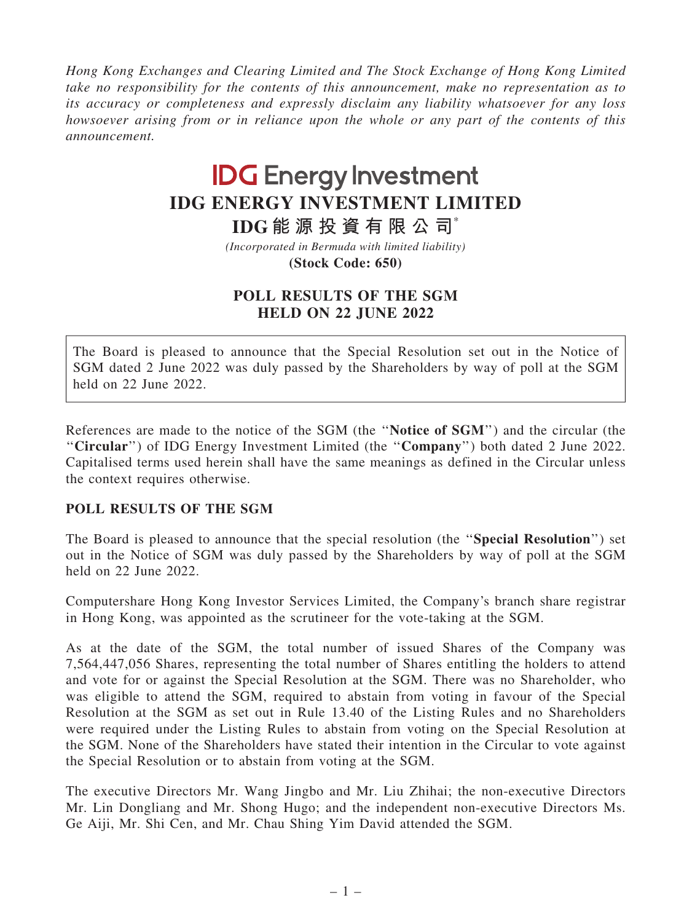Hong Kong Exchanges and Clearing Limited and The Stock Exchange of Hong Kong Limited take no responsibility for the contents of this announcement, make no representation as to its accuracy or completeness and expressly disclaim any liability whatsoever for any loss howsoever arising from or in reliance upon the whole or any part of the contents of this announcement.

## **IDG Energy Investment IDG ENERGY INVESTMENT LIMITED**

**IDG 能 源 投 資 有 限 公 司**\*

**(Stock Code: 650)** *(Incorporated in Bermuda with limited liability)*

## POLL RESULTS OF THE SGM HELD ON 22 JUNE 2022

The Board is pleased to announce that the Special Resolution set out in the Notice of SGM dated 2 June 2022 was duly passed by the Shareholders by way of poll at the SGM held on 22 June 2022.

References are made to the notice of the SGM (the ''Notice of SGM'') and the circular (the ''Circular'') of IDG Energy Investment Limited (the ''Company'') both dated 2 June 2022. Capitalised terms used herein shall have the same meanings as defined in the Circular unless the context requires otherwise.

## POLL RESULTS OF THE SGM

The Board is pleased to announce that the special resolution (the ''Special Resolution'') set out in the Notice of SGM was duly passed by the Shareholders by way of poll at the SGM held on 22 June 2022.

Computershare Hong Kong Investor Services Limited, the Company's branch share registrar in Hong Kong, was appointed as the scrutineer for the vote-taking at the SGM.

As at the date of the SGM, the total number of issued Shares of the Company was 7,564,447,056 Shares, representing the total number of Shares entitling the holders to attend and vote for or against the Special Resolution at the SGM. There was no Shareholder, who was eligible to attend the SGM, required to abstain from voting in favour of the Special Resolution at the SGM as set out in Rule 13.40 of the Listing Rules and no Shareholders were required under the Listing Rules to abstain from voting on the Special Resolution at the SGM. None of the Shareholders have stated their intention in the Circular to vote against the Special Resolution or to abstain from voting at the SGM.

The executive Directors Mr. Wang Jingbo and Mr. Liu Zhihai; the non-executive Directors Mr. Lin Dongliang and Mr. Shong Hugo; and the independent non-executive Directors Ms. Ge Aiji, Mr. Shi Cen, and Mr. Chau Shing Yim David attended the SGM.